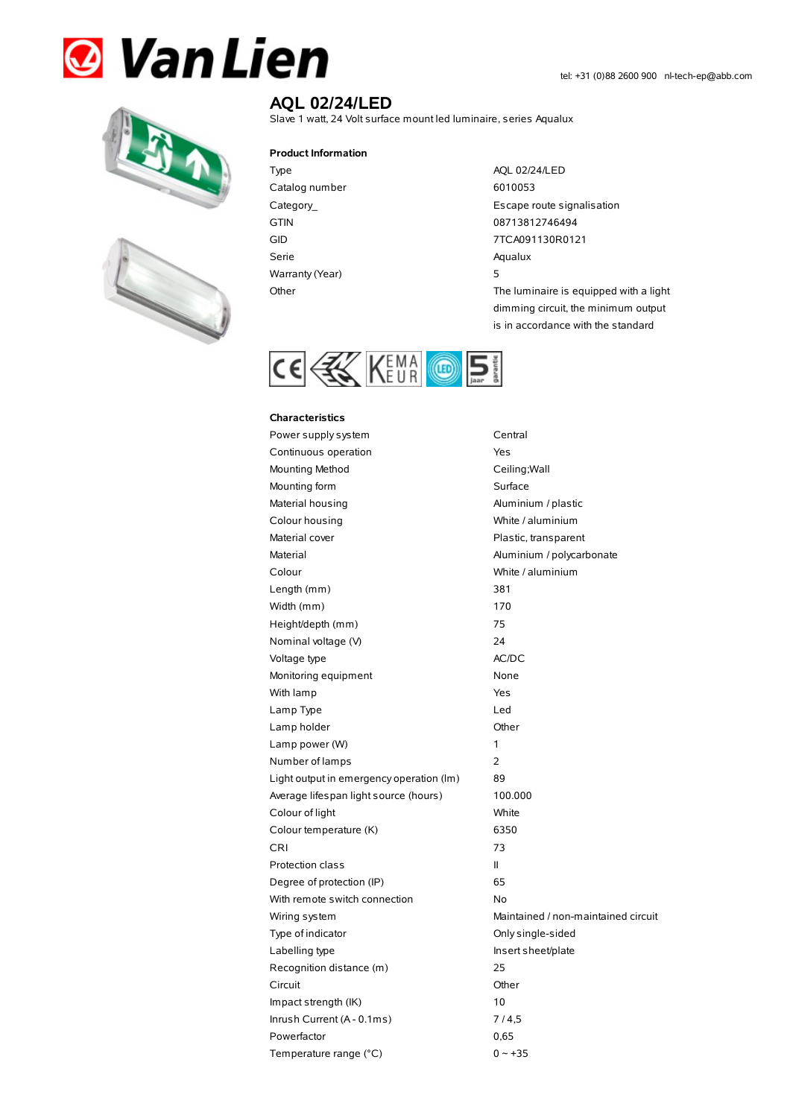# **& Van Lien**





# **AQL 02/24/LED**

Slave 1 watt, 24 Volt surface mount led luminaire, series Aqualux

#### **Product Information**

Type AQL 02/24/LED Catalog number 6010053 Serie Aqualux Warranty (Year) 5

Category\_ Escape route signalisation GTIN 08713812746494 GID 7TCA091130R0121 Other The luminaire is equipped with a light dimming circuit, the minimum output

is in accordance with the standard



#### **Characteristics**

| Power supply system                      | Central                             |
|------------------------------------------|-------------------------------------|
| Continuous operation                     | Yes                                 |
| Mounting Method                          | Ceiling; Wall                       |
| Mounting form                            | Surface                             |
| Material housing                         | Aluminium / plastic                 |
| Colour housing                           | White / aluminium                   |
| Material cover                           | Plastic, transparent                |
| Material                                 | Aluminium / polycarbonate           |
| Colour                                   | White / aluminium                   |
| Length (mm)                              | 381                                 |
| Width (mm)                               | 170                                 |
| Height/depth (mm)                        | 75                                  |
| Nominal voltage (V)                      | 24                                  |
| Voltage type                             | AC/DC                               |
| Monitoring equipment                     | None                                |
| With lamp                                | Yes                                 |
| Lamp Type                                | Led                                 |
| Lamp holder                              | Other                               |
| Lamp power (W)                           | 1                                   |
| Number of lamps                          | $\overline{2}$                      |
| Light output in emergency operation (Im) | 89                                  |
| Average lifespan light source (hours)    | 100.000                             |
| Colour of light                          | White                               |
| Colour temperature (K)                   | 6350                                |
| <b>CRI</b>                               | 73                                  |
| Protection class                         | Ш                                   |
| Degree of protection (IP)                | 65                                  |
| With remote switch connection            | No                                  |
| Wiring system                            | Maintained / non-maintained circuit |
| Type of indicator                        | Only single-sided                   |
| Labelling type                           | Insert sheet/plate                  |
| Recognition distance (m)                 | 25                                  |
| Circuit                                  | Other                               |
| Impact strength (IK)                     | 10                                  |
| Inrush Current (A - 0.1ms)               | 7/4,5                               |
| Powerfactor                              | 0,65                                |
| Temperature range (°C)                   | $0 - +35$                           |